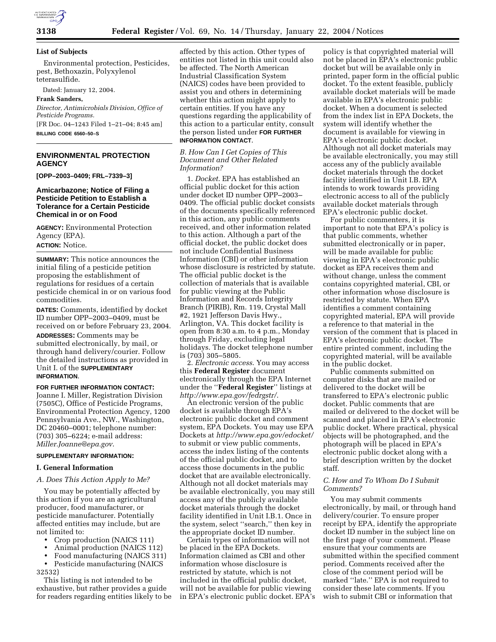

#### **List of Subjects**

Environmental protection, Pesticides, pest, Bethoxazin, Polyxylenol teterasulfide.

Dated: January 12, 2004.

#### **Frank Sanders,**

*Director, Antimicrobials Division, Office of Pesticide Programs.*

[FR Doc. 04–1243 Filed 1–21–04; 8:45 am] **BILLING CODE 6560–50–S**

# **ENVIRONMENTAL PROTECTION AGENCY**

**[OPP–2003–0409; FRL–7339–3]**

## **Amicarbazone; Notice of Filing a Pesticide Petition to Establish a Tolerance for a Certain Pesticide Chemical in or on Food**

**AGENCY:** Environmental Protection Agency (EPA).

**ACTION:** Notice.

**SUMMARY:** This notice announces the initial filing of a pesticide petition proposing the establishment of regulations for residues of a certain pesticide chemical in or on various food commodities.

**DATES:** Comments, identified by docket ID number OPP–2003–0409, must be received on or before February 23, 2004.

**ADDRESSES:** Comments may be submitted electronically, by mail, or through hand delivery/courier. Follow the detailed instructions as provided in Unit I. of the **SUPPLEMENTARY INFORMATION**.

# **FOR FURTHER INFORMATION CONTACT:**

Joanne I. Miller, Registration Division (7505C), Office of Pesticide Programs, Environmental Protection Agency, 1200 Pennsylvania Ave., NW., Washington, DC 20460–0001; telephone number: (703) 305–6224; e-mail address: *Miller.Joanne@epa.gov*.

### **SUPPLEMENTARY INFORMATION:**

### **I. General Information**

*A. Does This Action Apply to Me?*

You may be potentially affected by this action if you are an agricultural producer, food manufacturer, or pesticide manufacturer. Potentially affected entities may include, but are not limited to:

- Crop production (NAICS 111)
- Animal production (NAICS 112)
- Food manufacturing (NAICS 311)

• Pesticide manufacturing (NAICS 32532)

This listing is not intended to be exhaustive, but rather provides a guide for readers regarding entities likely to be affected by this action. Other types of entities not listed in this unit could also be affected. The North American Industrial Classification System (NAICS) codes have been provided to assist you and others in determining whether this action might apply to certain entities. If you have any questions regarding the applicability of this action to a particular entity, consult the person listed under **FOR FURTHER INFORMATION CONTACT**.

### *B. How Can I Get Copies of This Document and Other Related Information?*

1. *Docket*. EPA has established an official public docket for this action under docket ID number OPP–2003– 0409. The official public docket consists of the documents specifically referenced in this action, any public comments received, and other information related to this action. Although a part of the official docket, the public docket does not include Confidential Business Information (CBI) or other information whose disclosure is restricted by statute. The official public docket is the collection of materials that is available for public viewing at the Public Information and Records Integrity Branch (PIRIB), Rm. 119, Crystal Mall #2, 1921 Jefferson Davis Hwy., Arlington, VA. This docket facility is open from 8:30 a.m. to 4 p.m., Monday through Friday, excluding legal holidays. The docket telephone number is (703) 305–5805.

2. *Electronic access*. You may access this **Federal Register** document electronically through the EPA Internet under the ''**Federal Register**'' listings at *http://www.epa.gov/fedrgstr/*.

An electronic version of the public docket is available through EPA's electronic public docket and comment system, EPA Dockets. You may use EPA Dockets at *http://www.epa.gov/edocket/* to submit or view public comments, access the index listing of the contents of the official public docket, and to access those documents in the public docket that are available electronically. Although not all docket materials may be available electronically, you may still access any of the publicly available docket materials through the docket facility identified in Unit I.B.1. Once in the system, select ''search,'' then key in the appropriate docket ID number.

Certain types of information will not be placed in the EPA Dockets. Information claimed as CBI and other information whose disclosure is restricted by statute, which is not included in the official public docket, will not be available for public viewing in EPA's electronic public docket. EPA's

policy is that copyrighted material will not be placed in EPA's electronic public docket but will be available only in printed, paper form in the official public docket. To the extent feasible, publicly available docket materials will be made available in EPA's electronic public docket. When a document is selected from the index list in EPA Dockets, the system will identify whether the document is available for viewing in EPA's electronic public docket. Although not all docket materials may be available electronically, you may still access any of the publicly available docket materials through the docket facility identified in Unit I.B. EPA intends to work towards providing electronic access to all of the publicly available docket materials through EPA's electronic public docket.

For public commenters, it is important to note that EPA's policy is that public comments, whether submitted electronically or in paper, will be made available for public viewing in EPA's electronic public docket as EPA receives them and without change, unless the comment contains copyrighted material, CBI, or other information whose disclosure is restricted by statute. When EPA identifies a comment containing copyrighted material, EPA will provide a reference to that material in the version of the comment that is placed in EPA's electronic public docket. The entire printed comment, including the copyrighted material, will be available in the public docket.

Public comments submitted on computer disks that are mailed or delivered to the docket will be transferred to EPA's electronic public docket. Public comments that are mailed or delivered to the docket will be scanned and placed in EPA's electronic public docket. Where practical, physical objects will be photographed, and the photograph will be placed in EPA's electronic public docket along with a brief description written by the docket staff.

# *C. How and To Whom Do I Submit Comments?*

You may submit comments electronically, by mail, or through hand delivery/courier. To ensure proper receipt by EPA, identify the appropriate docket ID number in the subject line on the first page of your comment. Please ensure that your comments are submitted within the specified comment period. Comments received after the close of the comment period will be marked ''late.'' EPA is not required to consider these late comments. If you wish to submit CBI or information that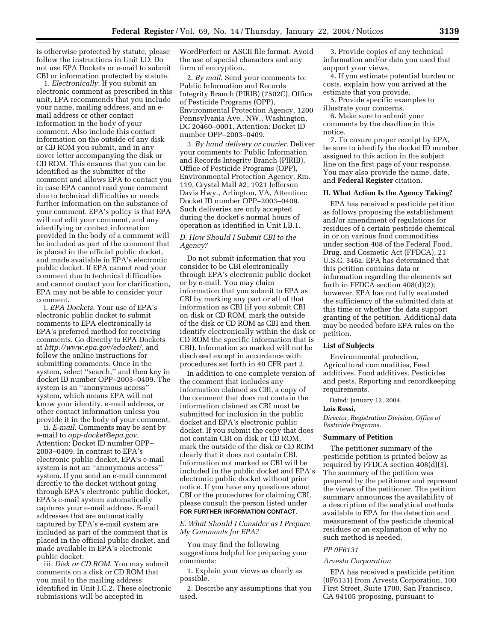is otherwise protected by statute, please follow the instructions in Unit I.D. Do not use EPA Dockets or e-mail to submit CBI or information protected by statute.

1. *Electronically*. If you submit an electronic comment as prescribed in this unit, EPA recommends that you include your name, mailing address, and an email address or other contact information in the body of your comment. Also include this contact information on the outside of any disk or CD ROM you submit, and in any cover letter accompanying the disk or CD ROM. This ensures that you can be identified as the submitter of the comment and allows EPA to contact you in case EPA cannot read your comment due to technical difficulties or needs further information on the substance of your comment. EPA's policy is that EPA will not edit your comment, and any identifying or contact information provided in the body of a comment will be included as part of the comment that is placed in the official public docket, and made available in EPA's electronic public docket. If EPA cannot read your comment due to technical difficulties and cannot contact you for clarification, EPA may not be able to consider your comment.

i. *EPA Dockets*. Your use of EPA's electronic public docket to submit comments to EPA electronically is EPA's preferred method for receiving comments. Go directly to EPA Dockets at *http://www.epa.gov/edocket/*, and follow the online instructions for submitting comments. Once in the system, select ''search,'' and then key in docket ID number OPP–2003–0409. The system is an ''anonymous access'' system, which means EPA will not know your identity, e-mail address, or other contact information unless you provide it in the body of your comment.

ii. *E-mail*. Comments may be sent by e-mail to *opp-docket@epa.gov*, Attention: Docket ID number OPP– 2003–0409. In contrast to EPA's electronic public docket, EPA's e-mail system is not an ''anonymous access'' system. If you send an e-mail comment directly to the docket without going through EPA's electronic public docket, EPA's e-mail system automatically captures your e-mail address. E-mail addresses that are automatically captured by EPA's e-mail system are included as part of the comment that is placed in the official public docket, and made available in EPA's electronic public docket.

iii. *Disk or CD ROM*. You may submit comments on a disk or CD ROM that you mail to the mailing address identified in Unit I.C.2. These electronic submissions will be accepted in

WordPerfect or ASCII file format. Avoid the use of special characters and any form of encryption.

2. *By mail*. Send your comments to: Public Information and Records Integrity Branch (PIRIB) (7502C), Office of Pesticide Programs (OPP), Environmental Protection Agency, 1200 Pennsylvania Ave., NW., Washington, DC 20460–0001, Attention: Docket ID number OPP–2003–0409.

3. *By hand delivery or courier*. Deliver your comments to: Public Information and Records Integrity Branch (PIRIB), Office of Pesticide Programs (OPP), Environmental Protection Agency, Rm. 119, Crystal Mall #2, 1921 Jefferson Davis Hwy., Arlington, VA, Attention: Docket ID number OPP–2003–0409. Such deliveries are only accepted during the docket's normal hours of operation as identified in Unit I.B.1.

# *D. How Should I Submit CBI to the Agency?*

Do not submit information that you consider to be CBI electronically through EPA's electronic public docket or by e-mail. You may claim information that you submit to EPA as CBI by marking any part or all of that information as CBI (if you submit CBI on disk or CD ROM, mark the outside of the disk or CD ROM as CBI and then identify electronically within the disk or CD ROM the specific information that is CBI). Information so marked will not be disclosed except in accordance with procedures set forth in 40 CFR part 2.

In addition to one complete version of the comment that includes any information claimed as CBI, a copy of the comment that does not contain the information claimed as CBI must be submitted for inclusion in the public docket and EPA's electronic public docket. If you submit the copy that does not contain CBI on disk or CD ROM, mark the outside of the disk or CD ROM clearly that it does not contain CBI. Information not marked as CBI will be included in the public docket and EPA's electronic public docket without prior notice. If you have any questions about CBI or the procedures for claiming CBI, please consult the person listed under **FOR FURTHER INFORMATION CONTACT**.

### *E. What Should I Consider as I Prepare My Comments for EPA?*

You may find the following suggestions helpful for preparing your comments:

1. Explain your views as clearly as possible.

2. Describe any assumptions that you used.

3. Provide copies of any technical information and/or data you used that support your views.

4. If you estimate potential burden or costs, explain how you arrived at the estimate that you provide.

5. Provide specific examples to illustrate your concerns.

6. Make sure to submit your comments by the deadline in this notice.

7. To ensure proper receipt by EPA, be sure to identify the docket ID number assigned to this action in the subject line on the first page of your response. You may also provide the name, date, and **Federal Register** citation.

### **II. What Action Is the Agency Taking?**

EPA has received a pesticide petition as follows proposing the establishment and/or amendment of regulations for residues of a certain pesticide chemical in or on various food commodities under section 408 of the Federal Food, Drug, and Cosmetic Act (FFDCA), 21 U.S.C. 346a. EPA has determined that this petition contains data or information regarding the elements set forth in FFDCA section 408(d)(2); however, EPA has not fully evaluated the sufficiency of the submitted data at this time or whether the data support granting of the petition. Additional data may be needed before EPA rules on the petition.

### **List of Subjects**

Environmental protection, Agricultural commodities, Feed additives, Food additives, Pesticides and pests, Reporting and recordkeeping requirements.

Dated: January 12, 2004.

#### **Lois Rossi,**

*Director, Registration Division, Office of Pesticide Programs.*

#### **Summary of Petition**

The petitioner summary of the pesticide petition is printed below as required by FFDCA section 408(d)(3). The summary of the petition was prepared by the petitioner and represent the views of the petitioner. The petition summary announces the availability of a description of the analytical methods available to EPA for the detection and measurement of the pesticide chemical residues or an explanation of why no such method is needed.

### *PP 0F6131*

#### *Arvesta Corporation*

EPA has received a pesticide petition (0F6131) from Arvesta Corporation, 100 First Street, Suite 1700, San Francisco, CA 94105 proposing, pursuant to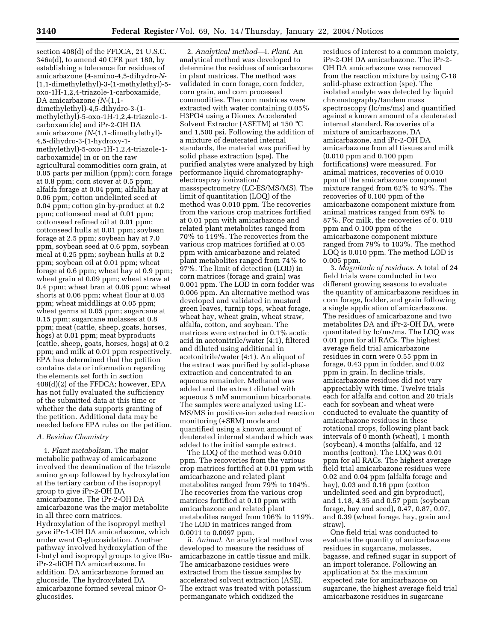section 408(d) of the FFDCA, 21 U.S.C. 346a(d), to amend 40 CFR part 180, by establishing a tolerance for residues of amicarbazone (4-amino-4,5-dihydro-*N*- (1,1-dimethylethyl)-3-(1-methylethyl)-5 oxo-1H-1,2,4-triazole-1-carboxamide, DA amicarbazone *(N*-(1,1 dimethylethyl)-4,5-dihydro-3-(1 methylethyl)-5-oxo-1H-1,2,4-triazole-1 carboxamide) and iPr-2-OH DA amicarbazone *(N*-(1,1-dimethylethyl)- 4,5-dihydro-3-(1-hydroxy-1 methylethyl)-5-oxo-1H-1,2,4-triazole-1 carboxamide) in or on the raw agricultural commodities corn grain, at 0.05 parts per million (ppm); corn forage at 0.8 ppm; corn stover at 0.5 ppm; alfalfa forage at 0.04 ppm; alfalfa hay at 0.06 ppm; cotton undelinted seed at 0.04 ppm; cotton gin by-product at 0.2 ppm; cottonseed meal at 0.01 ppm; cottonseed refined oil at 0.01 ppm; cottonseed hulls at 0.01 ppm; soybean forage at 2.5 ppm; soybean hay at 7.0 ppm, soybean seed at 0.6 ppm, soybean meal at 0.25 ppm; soybean hulls at 0.2 ppm; soybean oil at 0.01 ppm; wheat forage at 0.6 ppm; wheat hay at 0.9 ppm; wheat grain at 0.09 ppm; wheat straw at 0.4 ppm; wheat bran at 0.08 ppm; wheat shorts at 0.06 ppm; wheat flour at 0.05 ppm; wheat middlings at 0.05 ppm; wheat germs at 0.05 ppm; sugarcane at 0.15 ppm; sugarcane molasses at 0.8 ppm; meat (cattle, sheep, goats, horses, hogs) at 0.01 ppm; meat byproducts (cattle, sheep, goats, horses, hogs) at 0.2 ppm; and milk at 0.01 ppm respectively. EPA has determined that the petition contains data or information regarding the elements set forth in section 408(d)(2) of the FFDCA; however, EPA has not fully evaluated the sufficiency of the submitted data at this time or whether the data supports granting of the petition. Additional data may be needed before EPA rules on the petition.

#### *A. Residue Chemistry*

1. *Plant metabolism*. The major metabolic pathway of amicarbazone involved the deamination of the triazole amino group followed by hydroxylation at the tertiary carbon of the isopropyl group to give iPr-2-OH DA amicarbazone. The iPr-2-OH DA amicarbazone was the major metabolite in all three corn matrices. Hydroxylation of the isopropyl methyl gave iPr-1-OH DA amicarbazone, which under went O-glucosidation. Another pathway involved hydroxylation of the t-butyl and isopropyl groups to give tBuiPr-2-diOH DA amicarbazone. In addition, DA amicarbazone formed an glucoside. The hydroxylated DA amicarbazone formed several minor Oglucosides.

2. *Analytical method*—i. *Plant*. An analytical method was developed to determine the residues of amicarbazone in plant matrices. The method was validated in corn forage, corn fodder, corn grain, and corn processed commodities. The corn matrices were extracted with water containing 0.05% H3PO4 using a Dionex Accelerated Solvent Extractor (ASETM) at 150 °C and 1,500 psi. Following the addition of a mixture of deuterated internal standards, the material was purified by solid phase extraction (spe). The purified analytes were analyzed by high performance liquid chromatographyelectrospray ionization/ massspectrometry (LC-ES/MS/MS). The limit of quantitation (LOQ) of the method was 0.010 ppm. The recoveries from the various crop matrices fortified at 0.01 ppm with amicarbazone and related plant metabolites ranged from 70% to 119%. The recoveries from the various crop matrices fortified at 0.05 ppm with amicarbazone and related plant metabolites ranged from 74% to 97%. The limit of detection (LOD) in corn matrices (forage and grain) was 0.001 ppm. The LOD in corn fodder was 0.006 ppm. An alternative method was developed and validated in mustard green leaves, turnip tops, wheat forage, wheat hay, wheat grain, wheat straw, alfalfa, cotton, and soybean. The matrices were extracted in 0.1% acetic acid in acetonitrile/water (4:1), filtered and diluted using additional in acetonitrile/water (4:1). An aliquot of the extract was purified by solid-phase extraction and concentrated to an aqueous remainder. Methanol was added and the extract diluted with aqueous 5 mM ammonium bicarbonate. The samples were analyzed using LC-MS/MS in positive-ion selected reaction monitoring (+SRM) mode and quantified using a known amount of deuterated internal standard which was added to the initial sample extract.

The LOQ of the method was 0.010 ppm. The recoveries from the various crop matrices fortified at 0.01 ppm with amicarbazone and related plant metabolites ranged from 79% to 104%. The recoveries from the various crop matrices fortified at 0.10 ppm with amicarbazone and related plant metabolites ranged from 106% to 119%. The LOD in matrices ranged from 0.0011 to 0.0097 ppm.

ii. *Animal*. An analytical method was developed to measure the residues of amicarbazone in cattle tissue and milk. The amicarbazone residues were extracted from the tissue samples by accelerated solvent extraction (ASE). The extract was treated with potassium permanganate which oxidized the

residues of interest to a common moiety, iPr-2-OH DA amicarbazone. The iPr-2- OH DA amicarbazone was removed from the reaction mixture by using C-18 solid-phase extraction (spe). The isolated analyte was detected by liquid chromatography/tandem mass spectroscopy (lc/ms/ms) and quantified against a known amount of a deuterated internal standard. Recoveries of a mixture of amicarbazone, DA amicarbazone, and iPr-2-OH DA amicarbazone from all tissues and milk (0.010 ppm and 0.100 ppm fortifications) were measured. For animal matrices, recoveries of 0.010 ppm of the amicarbazone component mixture ranged from 62% to 93%. The recoveries of 0.100 ppm of the amicarbazone component mixture from animal matrices ranged from 69% to 87%. For milk, the recoveries of 0. 010 ppm and 0.100 ppm of the amicarbazone component mixture ranged from 79% to 103%. The method LOQ is 0.010 ppm. The method LOD is 0.005 ppm.

3. *Magnitude of residues*. A total of 24 field trials were conducted in two different growing seasons to evaluate the quantity of amicarbazone residues in corn forage, fodder, and grain following a single application of amicarbazone. The residues of amicarbazone and two metabolites DA and iPr-2-OH DA, were quantitated by lc/ms/ms. The LOQ was 0.01 ppm for all RACs. The highest average field trial amicarbazone residues in corn were 0.55 ppm in forage, 0.43 ppm in fodder, and 0.02 ppm in grain. In decline trials, amicarbazone residues did not vary appreciably with time. Twelve trials each for alfalfa and cotton and 20 trials each for soybean and wheat were conducted to evaluate the quantity of amicarbazone residues in these rotational crops, following plant back intervals of 0 month (wheat), 1 month (soybean), 4 months (alfalfa, and 12 months (cotton). The LOQ was 0.01 ppm for all RACs. The highest average field trial amicarbazone residues were 0.02 and 0.04 ppm (alfalfa forage and hay), 0.03 and 0.16 ppm (cotton undelinted seed and gin byproduct), and 1.18, 4.35 and 0.57 ppm (soybean forage, hay and seed), 0.47, 0.87, 0.07, and 0.39 (wheat forage, hay, grain and straw).

One field trial was conducted to evaluate the quantity of amicarbazone residues in sugarcane, molasses, bagasse, and refined sugar in support of an import tolerance. Following an application at 5x the maximum expected rate for amicarbazone on sugarcane, the highest average field trial amicarbazone residues in sugarcane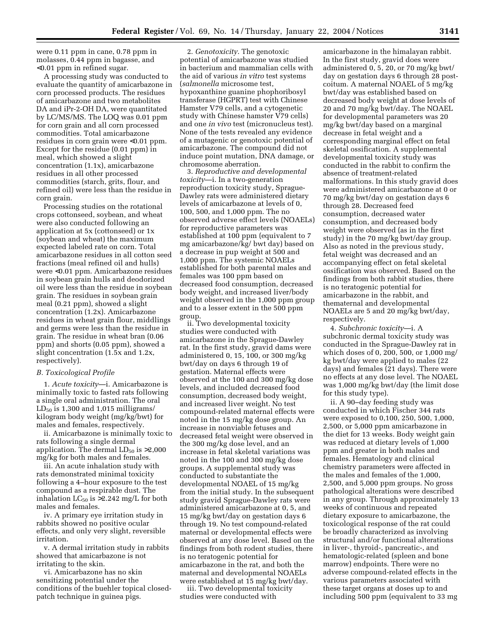were 0.11 ppm in cane, 0.78 ppm in molasses, 0.44 ppm in bagasse, and <0.01 ppm in refined sugar.

A processing study was conducted to evaluate the quantity of amicarbazone in corn processed products. The residues of amicarbazone and two metabolites DA and iPr-2-OH DA, were quantitated by LC/MS/MS. The LOQ was 0.01 ppm for corn grain and all corn processed commodities. Total amicarbazone residues in corn grain were <0.01 ppm. Except for the residue (0.01 ppm) in meal, which showed a slight concentration (1.1x), amicarbazone residues in all other processed commodities (starch, grits, flour, and refined oil) were less than the residue in corn grain.

Processing studies on the rotational crops cottonseed, soybean, and wheat were also conducted following an application at 5x (cottonseed) or 1x (soybean and wheat) the maximum expected labeled rate on corn. Total amicarbazone residues in all cotton seed fractions (meal refined oil and hulls) were <0.01 ppm. Amicarbazone residues in soybean grain hulls and deodorized oil were less than the residue in soybean grain. The residues in soybean grain meal (0.21 ppm), showed a slight concentration (1.2x). Amicarbazone residues in wheat grain flour, middlings and germs were less than the residue in grain. The residue in wheat bran (0.06 ppm) and shorts (0.05 ppm), showed a slight concentration (1.5x and 1.2x, respectively).

#### *B. Toxicological Profile*

1. *Acute toxicity*—i. Amicarbazone is minimally toxic to fasted rats following a single oral administration. The oral  $LD_{50}$  is 1,300 and 1,015 milligrams/ kilogram body weight (mg/kg/bwt) for males and females, respectively.

ii. Amicarbazone is minimally toxic to rats following a single dermal application. The dermal  $LD_{50}$  is  $>2,000$ mg/kg for both males and females.

iii. An acute inhalation study with rats demonstrated minimal toxicity following a 4–hour exposure to the test compound as a respirable dust. The inhalation  $LC_{50}$  is >2.242 mg/L for both males and females.

iv. A primary eye irritation study in rabbits showed no positive ocular effects, and only very slight, reversible irritation.

v. A dermal irritation study in rabbits showed that amicarbazone is not irritating to the skin.

vi. Amicarbazone has no skin sensitizing potential under the conditions of the buehler topical closedpatch technique in guinea pigs.

2. *Genotoxicity*. The genotoxic potential of amicarbazone was studied in bacterium and mammalian cells with the aid of various *in vitro* test systems (*salmonella* microsome test, hypoxanthine guanine phophoribosyl transferase (HGPRT) test with Chinese Hamster V79 cells, and a cytogenetic study with Chinese hamster V79 cells) and one *in vivo* test (micronucleus test). None of the tests revealed any evidence of a mutagenic or genotoxic potential of amicarbazone. The compound did not induce point mutation, DNA damage, or chromosome aberration.

3. *Reproductive and developmental toxicity*—i. In a two-generation reproduction toxicity study, Sprague-Dawley rats were administered dietary levels of amicarbazone at levels of 0, 100, 500, and 1,000 ppm. The no observed adverse effect levels (NOAELs) for reproductive parameters was established at 100 ppm (equivalent to 7 mg amicarbazone/kg/ bwt day) based on a decrease in pup weight at 500 and 1,000 ppm. The systemic NOAELs established for both parental males and females was 100 ppm based on decreased food consumption, decreased body weight, and increased liver/body weight observed in the 1,000 ppm group and to a lesser extent in the 500 ppm group.

ii. Two developmental toxicity studies were conducted with amicarbazone in the Sprague-Dawley rat. In the first study, gravid dams were administered 0, 15, 100, or 300 mg/kg bwt/day on days 6 through 19 of gestation. Maternal effects were observed at the 100 and 300 mg/kg dose levels, and included decreased food consumption, decreased body weight, and increased liver weight. No test compound-related maternal effects were noted in the 15 mg/kg dose group. An increase in nonviable fetuses and decreased fetal weight were observed in the 300 mg/kg dose level, and an increase in fetal skeletal variations was noted in the 100 and 300 mg/kg dose groups. A supplemental study was conducted to substantiate the developmental NOAEL of 15 mg/kg from the initial study. In the subsequent study gravid Sprague-Dawley rats were administered amicarbazone at 0, 5, and 15 mg/kg bwt/day on gestation days 6 through 19. No test compound-related maternal or developmental effects were observed at any dose level. Based on the findings from both rodent studies, there is no teratogenic potential for amicarbazone in the rat, and both the maternal and developmental NOAELs were established at 15 mg/kg bwt/day.

iii. Two developmental toxicity studies were conducted with

amicarbazone in the himalayan rabbit. In the first study, gravid does were administered 0, 5, 20, or 70 mg/kg bwt/ day on gestation days 6 through 28 postcoitum. A maternal NOAEL of 5 mg/kg bwt/day was established based on decreased body weight at dose levels of 20 and 70 mg/kg bwt/day. The NOAEL for developmental parameters was 20 mg/kg bwt/day based on a marginal decrease in fetal weight and a corresponding marginal effect on fetal skeletal ossification. A supplemental developmental toxicity study was conducted in the rabbit to confirm the absence of treatment-related malformations. In this study gravid does were administered amicarbazone at 0 or 70 mg/kg bwt/day on gestation days 6 through 28. Decreased feed consumption, decreased water consumption, and decreased body weight were observed (as in the first study) in the 70 mg/kg bwt/day group. Also as noted in the previous study, fetal weight was decreased and an accompanying effect on fetal skeletal ossification was observed. Based on the findings from both rabbit studies, there is no teratogenic potential for amicarbazone in the rabbit, and thematernal and developmental NOAELs are 5 and 20 mg/kg bwt/day, respectively.

4. *Subchronic toxicity*—i. A subchronic dermal toxicity study was conducted in the Sprague-Dawley rat in which doses of 0, 200, 500, or 1,000 mg/ kg bwt/day were applied to males (22 days) and females (21 days). There were no effects at any dose level. The NOAEL was 1,000 mg/kg bwt/day (the limit dose for this study type).

ii. A 90–day feeding study was conducted in which Fischer 344 rats were exposed to 0,100, 250, 500, 1,000, 2,500, or 5,000 ppm amicarbazone in the diet for 13 weeks. Body weight gain was reduced at dietary levels of 1,000 ppm and greater in both males and females. Hematology and clinical chemistry parameters were affected in the males and females of the 1,000, 2,500, and 5,000 ppm groups. No gross pathological alterations were described in any group. Through approximately 13 weeks of continuous and repeated dietary exposure to amicarbazone, the toxicological response of the rat could be broadly characterized as involving structural and/or functional alterations in liver-, thyroid-, pancreatic-, and hematologic-related (spleen and bone marrow) endpoints. There were no adverse compound-related effects in the various parameters associated with these target organs at doses up to and including 500 ppm (equivalent to 33 mg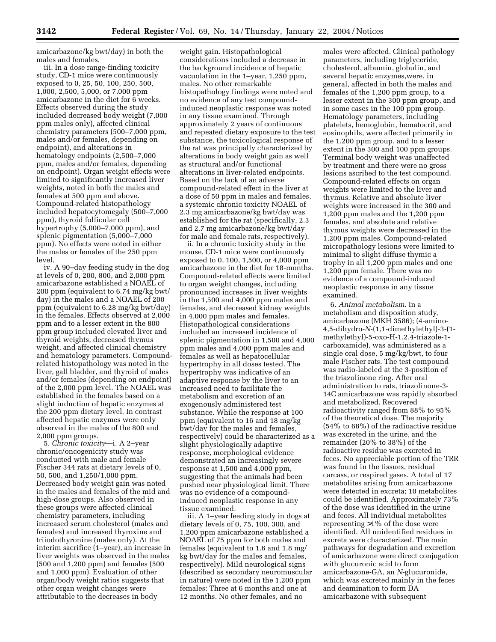amicarbazone/kg bwt/day) in both the males and females.

iii. In a dose range-finding toxicity study, CD-1 mice were continuously exposed to 0, 25, 50, 100, 250, 500, 1,000, 2,500, 5,000, or 7,000 ppm amicarbazone in the diet for 6 weeks. Effects observed during the study included decreased body weight (7,000 ppm males only), affected clinical chemistry parameters (500–7,000 ppm, males and/or females, depending on endpoint), and alterations in hematology endpoints (2,500–7,000 ppm, males and/or females, depending on endpoint). Organ weight effects were limited to significantly increased liver weights, noted in both the males and females at 500 ppm and above. Compound-related histopathology included hepatocytomegaly (500–7,000 ppm), thyroid follicular cell hypertrophy (5,000–7,000 ppm), and splenic pigmentation (5,000–7,000 ppm). No effects were noted in either the males or females of the 250 ppm level.

iv. A 90–day feeding study in the dog at levels of 0, 200, 800, and 2,000 ppm amicarbazone established a NOAEL of 200 ppm (equivalent to 6.74 mg/kg bwt/ day) in the males and a NOAEL of 200 ppm (equivalent to 6.28 mg/kg bwt/day) in the females. Effects observed at 2,000 ppm and to a lesser extent in the 800 ppm group included elevated liver and thyroid weights, decreased thymus weight, and affected clinical chemistry and hematology parameters. Compoundrelated histopathology was noted in the liver, gall bladder, and thyroid of males and/or females (depending on endpoint) of the 2,000 ppm level. The NOAEL was established in the females based on a slight induction of hepatic enzymes at the 200 ppm dietary level. In contrast affected hepatic enzymes were only observed in the males of the 800 and 2,000 ppm groups.

5. *Chronic toxicity*—i. A 2–year chronic/oncogenicity study was conducted with male and female Fischer 344 rats at dietary levels of 0, 50, 500, and 1,250/1,000 ppm. Decreased body weight gain was noted in the males and females of the mid and high-dose groups. Also observed in these groups were affected clinical chemistry parameters, including increased serum cholesterol (males and females) and increased thyroxine and triiodothyronine (males only). At the interim sacrifice (1–year), an increase in liver weights was observed in the males (500 and 1,200 ppm) and females (500 and 1,000 ppm). Evaluation of other organ/body weight ratios suggests that other organ weight changes were attributable to the decreases in body

weight gain. Histopathological considerations included a decrease in the background incidence of hepatic vacuolation in the 1–year, 1,250 ppm, males. No other remarkable histopathology findings were noted and no evidence of any test compoundinduced neoplastic response was noted in any tissue examined. Through approximately 2 years of continuous and repeated dietary exposure to the test substance, the toxicological response of the rat was principally characterized by alterations in body weight gain as well as structural and/or functional alterations in liver-related endpoints. Based on the lack of an adverse compound-related effect in the liver at a dose of 50 ppm in males and females, a systemic chronic toxicity NOAEL of 2.3 mg amicarbazone/kg bwt/day was established for the rat (specifically, 2.3 and 2.7 mg amicarbazone/kg bwt/day for male and female rats, respectively).

ii. In a chronic toxicity study in the mouse, CD-1 mice were continuously exposed to 0, 100, 1,500, or 4,000 ppm amicarbazone in the diet for 18-months. Compound-related effects were limited to organ weight changes, including pronounced increases in liver weights in the 1,500 and 4,000 ppm males and females, and decreased kidney weights in 4,000 ppm males and females. Histopathological considerations included an increased incidence of splenic pigmentation in 1,500 and 4,000 ppm males and 4,000 ppm males and females as well as hepatocellular hypertrophy in all doses tested. The hypertrophy was indicative of an adaptive response by the liver to an increased need to facilitate the metabolism and excretion of an exogenously administered test substance. While the response at 100 ppm (equivalent to 16 and 18 mg/kg bwt/day for the males and females, respectively) could be characterized as a slight physiologically adaptive response, morphological evidence demonstrated an increasingly severe response at 1,500 and 4,000 ppm, suggesting that the animals had been pushed near physiological limit. There was no evidence of a compoundinduced neoplastic response in any tissue examined.

iii. A 1–year feeding study in dogs at dietary levels of 0, 75, 100, 300, and 1,200 ppm amicarbazone established a NOAEL of 75 ppm for both males and females (equivalent to 1.6 and 1.8 mg/ kg bwt/day for the males and females, respectively). Mild neurological signs (described as secondary neuromuscular in nature) were noted in the 1,200 ppm females: Three at 6 months and one at 12 months. No other females, and no

males were affected. Clinical pathology parameters, including triglyceride, cholesterol, albumin, globulin, and several hepatic enzymes,were, in general, affected in both the males and females of the 1,200 ppm group, to a lesser extent in the 300 ppm group, and in some cases in the 100 ppm group. Hematology parameters, including platelets, hemoglobin, hematocrit, and eosinophils, were affected primarily in the 1,200 ppm group, and to a lesser extent in the 300 and 100 ppm groups. Terminal body weight was unaffected by treatment and there were no gross lesions ascribed to the test compound. Compound-related effects on organ weights were limited to the liver and thymus. Relative and absolute liver weights were increased in the 300 and 1,200 ppm males and the 1,200 ppm females, and absolute and relative thymus weights were decreased in the 1,200 ppm males. Compound-related micropathology lesions were limited to minimal to slight diffuse thymic a trophy in all 1,200 ppm males and one 1,200 ppm female. There was no evidence of a compound-induced neoplastic response in any tissue examined.

6. *Animal metabolism*. In a metabolism and disposition study, amicarbazone (MKH 3586); (4-amino-4,5-dihydro-*N*-(1,1-dimethylethyl)-3-(1 methylethyl)-5-oxo-H-1,2,4-triazole-1 carboxamide), was administered as a single oral dose, 5 mg/kg/bwt, to four male Fischer rats. The test compound was radio-labeled at the 3-position of the triazolinone ring. After oral administration to rats, triazolinone-3- 14C amicarbazone was rapidly absorbed and metabolized. Recovered radioactivity ranged from 88% to 95% of the theoretical dose. The majority (54% to 68%) of the radioactive residue was excreted in the urine, and the remainder (20% to 38%) of the radioactive residue was excreted in feces. No appreciable portion of the TRR was found in the tissues, residual carcass, or respired gases. A total of 17 metabolites arising from amicarbazone were detected in excreta; 10 metabolites could be identified. Approximately 73% of the dose was identified in the urine and feces. All individual metabolites representing >1% of the dose were identified. All unidentified residues in excreta were characterized. The main pathways for degradation and excretion of amicarbazone were direct conjugation with glucuronic acid to form amicarbazone-GA, an *N*-glucuronide, which was excreted mainly in the feces and deamination to form DA amicarbazone with subsequent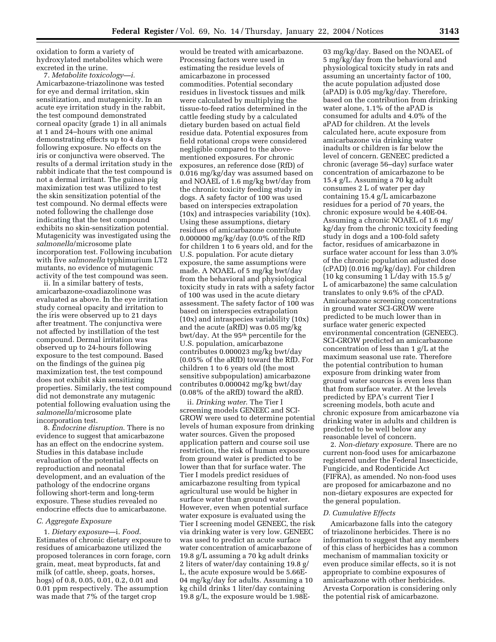oxidation to form a variety of hydroxylated metabolites which were excreted in the urine.

7. *Metabolite toxicology—i.* Amicarbazone-triazolinone was tested for eye and dermal irritation, skin sensitization, and mutagenicity. In an acute eye irritation study in the rabbit, the test compound demonstrated corneal opacity (grade 1) in all animals at 1 and 24–hours with one animal demonstrating effects up to 4 days following exposure. No effects on the iris or conjunctiva were observed. The results of a dermal irritation study in the rabbit indicate that the test compound is not a dermal irritant. The guinea pig maximization test was utilized to test the skin sensitization potential of the test compound. No dermal effects were noted following the challenge dose indicating that the test compound exhibits no skin-sensitization potential. Mutagenicity was investigated using the *salmonella*/microsome plate incorporation test. Following incubation with five *salmonella* typhimurium LT2 mutants, no evidence of mutagenic activity of the test compound was seen.

ii. In a similar battery of tests, amicarbazone-oxadiazolinone was evaluated as above. In the eye irritation study corneal opacity and irritation to the iris were observed up to 21 days after treatment. The conjunctiva were not affected by instillation of the test compound. Dermal irritation was observed up to 24-hours following exposure to the test compound. Based on the findings of the guinea pig maximization test, the test compound does not exhibit skin sensitizing properties. Similarly, the test compound did not demonstrate any mutagenic potential following evaluation using the *salmonella*/microsome plate incorporation test.

8. *Endocrine disruption*. There is no evidence to suggest that amicarbazone has an effect on the endocrine system. Studies in this database include evaluation of the potential effects on reproduction and neonatal development, and an evaluation of the pathology of the endocrine organs following short-term and long-term exposure. These studies revealed no endocrine effects due to amicarbazone.

#### *C. Aggregate Exposure*

1. *Dietary exposure*—i. *Food*. Estimates of chronic dietary exposure to residues of amicarbazone utilized the proposed tolerances in corn forage, corn grain, meat, meat byproducts, fat and milk (of cattle, sheep, goats, horses, hogs) of 0.8, 0.05, 0.01, 0.2, 0.01 and 0.01 ppm respectively. The assumption was made that 7% of the target crop

would be treated with amicarbazone. Processing factors were used in estimating the residue levels of amicarbazone in processed commodities. Potential secondary residues in livestock tissues and milk were calculated by multiplying the tissue-to-feed ratios determined in the cattle feeding study by a calculated dietary burden based on actual field residue data. Potential exposures from field rotational crops were considered negligible compared to the abovementioned exposures. For chronic exposures, an reference dose (RfD) of 0.016 mg/kg/day was assumed based on and NOAEL of 1.6 mg/kg bwt/day from the chronic toxicity feeding study in dogs. A safety factor of 100 was used based on interspecies extrapolation (10x) and intraspecies variability (10x). Using these assumptions, dietary residues of amicarbazone contribute 0.000000 mg/kg/day (0.0% of the RfD for children 1 to 6 years old, and for the U.S. population. For acute dietary exposure, the same assumptions were made. A NOAEL of 5 mg/kg bwt/day from the behavioral and physiological toxicity study in rats with a safety factor of 100 was used in the acute dietary assessment. The safety factor of 100 was based on interspecies extrapolation (10x) and intraspecies variability (10x) and the acute (aRfD) was 0.05 mg/kg bwt/day. At the 95<sup>th</sup> percentile for the U.S. population, amicarbazone contributes 0.000023 mg/kg bwt/day (0.05% of the aRfD) toward the RfD. For children 1 to 6 years old (the most sensitive subpopulation) amicarbazone contributes 0.000042 mg/kg bwt/day (0.08% of the aRfD) toward the aRfD.

ii. *Drinking water*. The Tier I screening models GENEEC and SCI-GROW were used to determine potential levels of human exposure from drinking water sources. Given the proposed application pattern and course soil use restriction, the risk of human exposure from ground water is predicted to be lower than that for surface water. The Tier I models predict residues of amicarbazone resulting from typical agricultural use would be higher in surface water than ground water. However, even when potential surface water exposure is evaluated using the Tier I screening model GENEEC, the risk via drinking water is very low. GENEEC was used to predict an acute surface water concentration of amicarbazone of 19.8 g/L assuming a 70 kg adult drinks 2 liters of water/day containing 19.8 g/ L, the acute exposure would be 5.66E-04 mg/kg/day for adults. Assuming a 10 kg child drinks 1 liter/day containing 19.8 g/L, the exposure would be 1.98E-

03 mg/kg/day. Based on the NOAEL of 5 mg/kg/day from the behavioral and physiological toxicity study in rats and assuming an uncertainty factor of 100, the acute population adjusted dose (aPAD) is 0.05 mg/kg/day. Therefore, based on the contribution from drinking water alone, 1.1% of the aPAD is consumed for adults and 4.0% of the aPAD for children. At the levels calculated here, acute exposure from amicarbazone via drinking water inadults or children is far below the level of concern. GENEEC predicted a chronic (average 56–day) surface water concentration of amicarbazone to be 15.4 g/L. Assuming a 70 kg adult consumes 2 L of water per day containing 15.4 g/L amicarbazone residues for a period of 70 years, the chronic exposure would be 4.40E-04. Assuming a chronic NOAEL of 1.6 mg/ kg/day from the chronic toxicity feeding study in dogs and a 100-fold safety factor, residues of amicarbazone in surface water account for less than 3.0% of the chronic population adjusted dose (cPAD) (0.016 mg/kg/day). For children (10 kg consuming 1 L/day with 15.5 g/ L of amicarbazone) the same calculation translates to only 9.6% of the cPAD. Amicarbazone screening concentrations in ground water SCI-GROW were predicted to be much lower than in surface water generic expected environmental concentration (GENEEC). SCI-GROW predicted an amicarbazone concentration of less than 1 g/L at the maximum seasonal use rate. Therefore the potential contribution to human exposure from drinking water from ground water sources is even less than that from surface water. At the levels predicted by EPA's current Tier I screening models, both acute and chronic exposure from amicarbazone via drinking water in adults and children is predicted to be well below any reasonable level of concern.

2. *Non-dietary exposure*. There are no current non-food uses for amicarbazone registered under the Federal Insecticide, Fungicide, and Rodenticide Act (FIFRA), as amended. No non-food uses are proposed for amicarbazone and no non-dietary exposures are expected for the general population.

#### *D. Cumulative Effects*

Amicarbazone falls into the category of triazolinone herbicides. There is no information to suggest that any members of this class of herbicides has a common mechanism of mammalian toxicity or even produce similar effects, so it is not appropriate to combine exposures of amicarbazone with other herbicides. Arvesta Corporation is considering only the potential risk of amicarbazone.